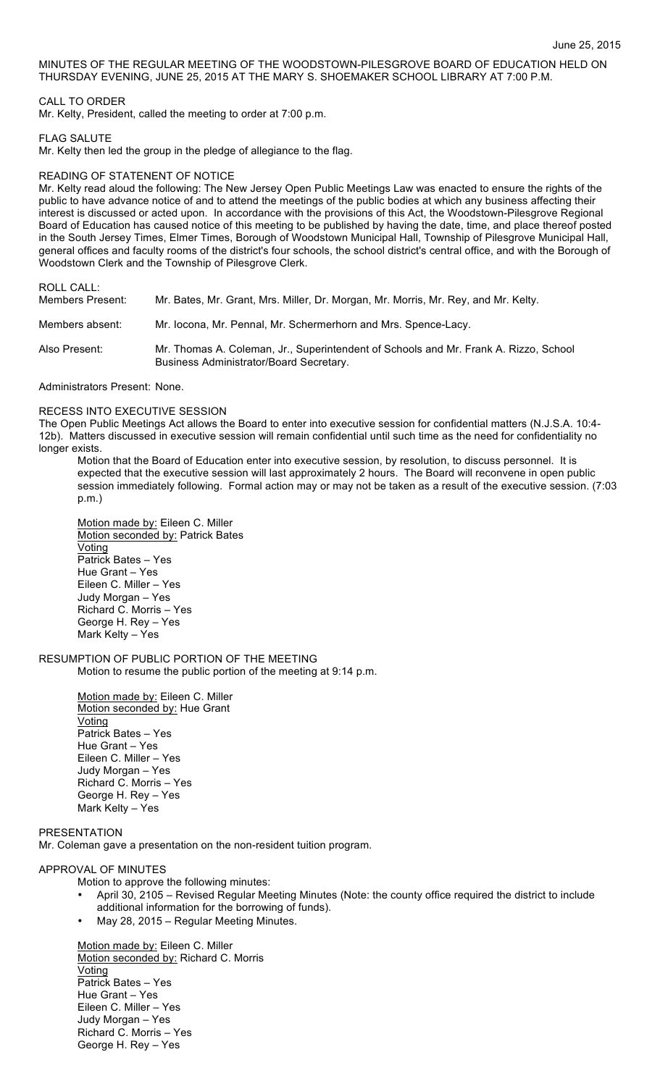MINUTES OF THE REGULAR MEETING OF THE WOODSTOWN-PILESGROVE BOARD OF EDUCATION HELD ON THURSDAY EVENING, JUNE 25, 2015 AT THE MARY S. SHOEMAKER SCHOOL LIBRARY AT 7:00 P.M.

## CALL TO ORDER

Mr. Kelty, President, called the meeting to order at 7:00 p.m.

## FLAG SALUTE

Mr. Kelty then led the group in the pledge of allegiance to the flag.

## READING OF STATENENT OF NOTICE

Mr. Kelty read aloud the following: The New Jersey Open Public Meetings Law was enacted to ensure the rights of the public to have advance notice of and to attend the meetings of the public bodies at which any business affecting their interest is discussed or acted upon. In accordance with the provisions of this Act, the Woodstown-Pilesgrove Regional Board of Education has caused notice of this meeting to be published by having the date, time, and place thereof posted in the South Jersey Times, Elmer Times, Borough of Woodstown Municipal Hall, Township of Pilesgrove Municipal Hall, general offices and faculty rooms of the district's four schools, the school district's central office, and with the Borough of Woodstown Clerk and the Township of Pilesgrove Clerk.

# ROLL CALL:

| Members Present: | Mr. Bates, Mr. Grant, Mrs. Miller, Dr. Morgan, Mr. Morris, Mr. Rey, and Mr. Kelty.                                              |
|------------------|---------------------------------------------------------------------------------------------------------------------------------|
| Members absent:  | Mr. locona, Mr. Pennal, Mr. Schermerhorn and Mrs. Spence-Lacy.                                                                  |
| Also Present:    | Mr. Thomas A. Coleman, Jr., Superintendent of Schools and Mr. Frank A. Rizzo, School<br>Business Administrator/Board Secretary. |

Administrators Present: None.

### RECESS INTO EXECUTIVE SESSION

The Open Public Meetings Act allows the Board to enter into executive session for confidential matters (N.J.S.A. 10:4- 12b). Matters discussed in executive session will remain confidential until such time as the need for confidentiality no longer exists.

Motion that the Board of Education enter into executive session, by resolution, to discuss personnel. It is expected that the executive session will last approximately 2 hours. The Board will reconvene in open public session immediately following. Formal action may or may not be taken as a result of the executive session. (7:03 p.m.)

Motion made by: Eileen C. Miller Motion seconded by: Patrick Bates Voting Patrick Bates – Yes Hue Grant – Yes Eileen C. Miller – Yes Judy Morgan – Yes Richard C. Morris – Yes George H. Rey – Yes Mark Kelty – Yes

## RESUMPTION OF PUBLIC PORTION OF THE MEETING Motion to resume the public portion of the meeting at 9:14 p.m.

Motion made by: Eileen C. Miller Motion seconded by: Hue Grant Voting Patrick Bates – Yes Hue Grant – Yes Eileen C. Miller – Yes Judy Morgan – Yes Richard C. Morris – Yes George H. Rey – Yes Mark Kelty – Yes

## PRESENTATION

Mr. Coleman gave a presentation on the non-resident tuition program.

# APPROVAL OF MINUTES

- Motion to approve the following minutes:
- April 30, 2105 Revised Regular Meeting Minutes (Note: the county office required the district to include additional information for the borrowing of funds).
- May 28, 2015 Regular Meeting Minutes.

Motion made by: Eileen C. Miller Motion seconded by: Richard C. Morris Voting Patrick Bates – Yes Hue Grant – Yes Eileen C. Miller – Yes Judy Morgan – Yes Richard C. Morris – Yes George H. Rey – Yes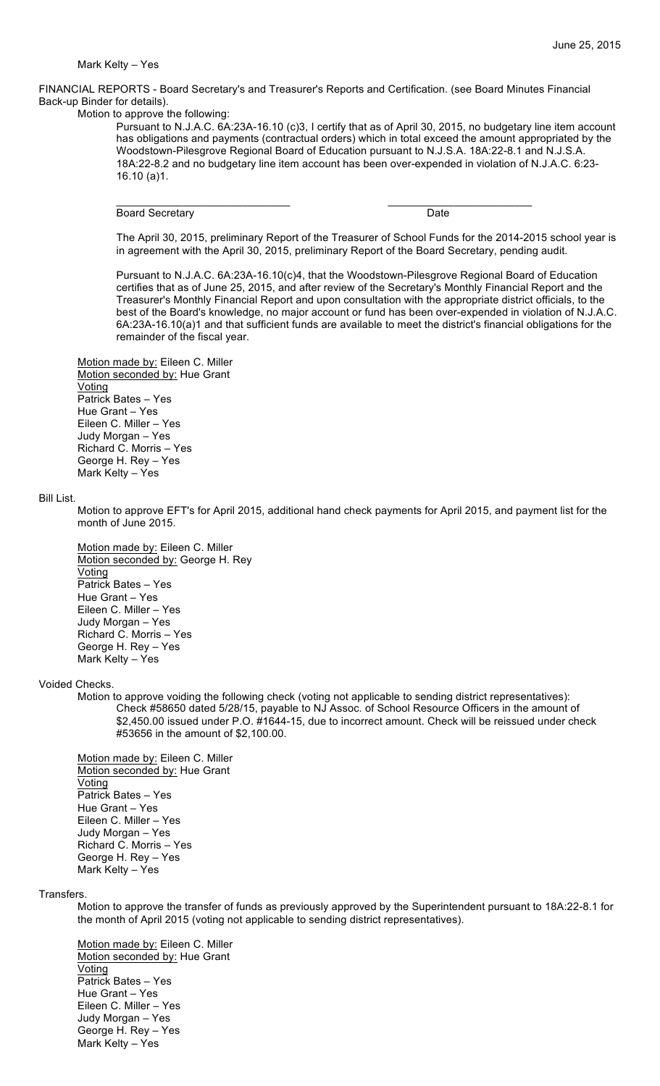#### Mark Kelty – Yes

FINANCIAL REPORTS - Board Secretary's and Treasurer's Reports and Certification. (see Board Minutes Financial Back-up Binder for details).

 $\overline{\phantom{a}}$  , and the contribution of the contribution of  $\overline{\phantom{a}}$  , and  $\overline{\phantom{a}}$  , and  $\overline{\phantom{a}}$  , and  $\overline{\phantom{a}}$ 

Motion to approve the following:

Pursuant to N.J.A.C. 6A:23A-16.10 (c)3, I certify that as of April 30, 2015, no budgetary line item account has obligations and payments (contractual orders) which in total exceed the amount appropriated by the Woodstown-Pilesgrove Regional Board of Education pursuant to N.J.S.A. 18A:22-8.1 and N.J.S.A. 18A:22-8.2 and no budgetary line item account has been over-expended in violation of N.J.A.C. 6:23- 16.10 (a)1.

Board Secretary **Date Date Date** 

The April 30, 2015, preliminary Report of the Treasurer of School Funds for the 2014-2015 school year is in agreement with the April 30, 2015, preliminary Report of the Board Secretary, pending audit.

Pursuant to N.J.A.C. 6A:23A-16.10(c)4, that the Woodstown-Pilesgrove Regional Board of Education certifies that as of June 25, 2015, and after review of the Secretary's Monthly Financial Report and the Treasurer's Monthly Financial Report and upon consultation with the appropriate district officials, to the best of the Board's knowledge, no major account or fund has been over-expended in violation of N.J.A.C. 6A:23A-16.10(a)1 and that sufficient funds are available to meet the district's financial obligations for the remainder of the fiscal year.

Motion made by: Eileen C. Miller Motion seconded by: Hue Grant Voting Patrick Bates – Yes Hue Grant – Yes Eileen C. Miller – Yes Judy Morgan – Yes Richard C. Morris – Yes George H. Rey – Yes Mark Kelty – Yes

#### Bill List.

Motion to approve EFT's for April 2015, additional hand check payments for April 2015, and payment list for the month of June 2015.

Motion made by: Eileen C. Miller Motion seconded by: George H. Rey Voting Patrick Bates – Yes Hue Grant – Yes Eileen C. Miller – Yes Judy Morgan – Yes Richard C. Morris – Yes George H. Rey – Yes Mark Kelty – Yes

### Voided Checks.

Motion to approve voiding the following check (voting not applicable to sending district representatives): Check #58650 dated 5/28/15, payable to NJ Assoc. of School Resource Officers in the amount of \$2,450.00 issued under P.O. #1644-15, due to incorrect amount. Check will be reissued under check #53656 in the amount of \$2,100.00.

Motion made by: Eileen C. Miller Motion seconded by: Hue Grant Voting Patrick Bates – Yes Hue Grant – Yes Eileen C. Miller – Yes Judy Morgan – Yes Richard C. Morris – Yes George H. Rey – Yes Mark Kelty – Yes

Transfers.

Motion to approve the transfer of funds as previously approved by the Superintendent pursuant to 18A:22-8.1 for the month of April 2015 (voting not applicable to sending district representatives).

Motion made by: Eileen C. Miller Motion seconded by: Hue Grant Voting Patrick Bates – Yes Hue Grant – Yes Eileen C. Miller – Yes Judy Morgan – Yes George H. Rey – Yes Mark Kelty – Yes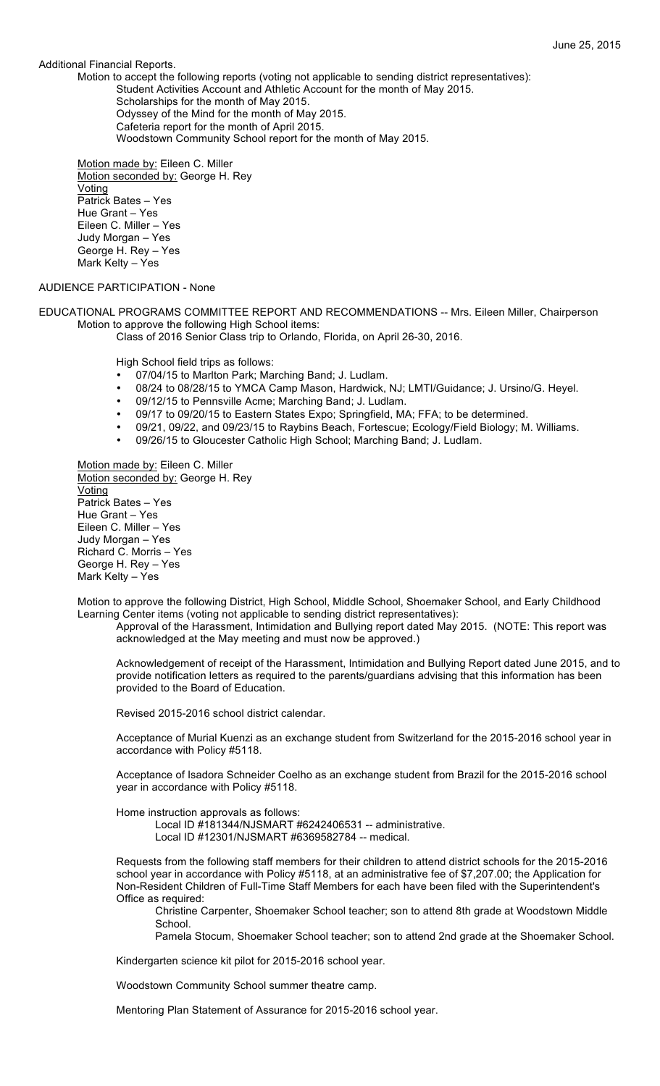### Additional Financial Reports.

Motion to accept the following reports (voting not applicable to sending district representatives): Student Activities Account and Athletic Account for the month of May 2015. Scholarships for the month of May 2015. Odyssey of the Mind for the month of May 2015. Cafeteria report for the month of April 2015.

Woodstown Community School report for the month of May 2015.

Motion made by: Eileen C. Miller Motion seconded by: George H. Rey Voting Patrick Bates – Yes Hue Grant – Yes Eileen C. Miller – Yes Judy Morgan – Yes George H. Rey – Yes Mark Kelty – Yes

# AUDIENCE PARTICIPATION - None

EDUCATIONAL PROGRAMS COMMITTEE REPORT AND RECOMMENDATIONS -- Mrs. Eileen Miller, Chairperson Motion to approve the following High School items:

Class of 2016 Senior Class trip to Orlando, Florida, on April 26-30, 2016.

High School field trips as follows:

- 07/04/15 to Marlton Park; Marching Band; J. Ludlam.
- 08/24 to 08/28/15 to YMCA Camp Mason, Hardwick, NJ; LMTI/Guidance; J. Ursino/G. Heyel.
- 09/12/15 to Pennsville Acme; Marching Band; J. Ludlam.
- 09/17 to 09/20/15 to Eastern States Expo; Springfield, MA; FFA; to be determined.
- 09/21, 09/22, and 09/23/15 to Raybins Beach, Fortescue; Ecology/Field Biology; M. Williams.
- 09/26/15 to Gloucester Catholic High School; Marching Band; J. Ludlam.

Motion made by: Eileen C. Miller Motion seconded by: George H. Rey **Voting** Patrick Bates – Yes Hue Grant – Yes Eileen C. Miller – Yes Judy Morgan – Yes Richard C. Morris – Yes George H. Rey – Yes Mark Kelty – Yes

Motion to approve the following District, High School, Middle School, Shoemaker School, and Early Childhood Learning Center items (voting not applicable to sending district representatives):

Approval of the Harassment, Intimidation and Bullying report dated May 2015. (NOTE: This report was acknowledged at the May meeting and must now be approved.)

Acknowledgement of receipt of the Harassment, Intimidation and Bullying Report dated June 2015, and to provide notification letters as required to the parents/guardians advising that this information has been provided to the Board of Education.

Revised 2015-2016 school district calendar.

Acceptance of Murial Kuenzi as an exchange student from Switzerland for the 2015-2016 school year in accordance with Policy #5118.

Acceptance of Isadora Schneider Coelho as an exchange student from Brazil for the 2015-2016 school year in accordance with Policy #5118.

Home instruction approvals as follows:

Local ID #181344/NJSMART #6242406531 -- administrative. Local ID #12301/NJSMART #6369582784 -- medical.

Requests from the following staff members for their children to attend district schools for the 2015-2016 school year in accordance with Policy #5118, at an administrative fee of \$7,207.00; the Application for Non-Resident Children of Full-Time Staff Members for each have been filed with the Superintendent's Office as required:

Christine Carpenter, Shoemaker School teacher; son to attend 8th grade at Woodstown Middle School.

Pamela Stocum, Shoemaker School teacher; son to attend 2nd grade at the Shoemaker School.

Kindergarten science kit pilot for 2015-2016 school year.

Woodstown Community School summer theatre camp.

Mentoring Plan Statement of Assurance for 2015-2016 school year.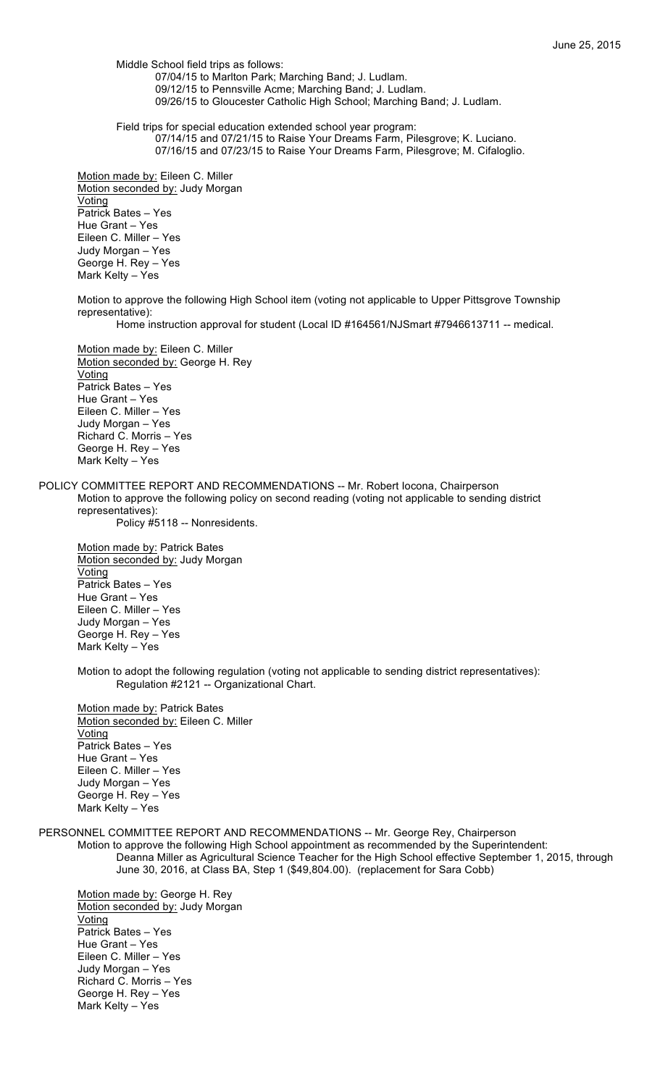Middle School field trips as follows: 07/04/15 to Marlton Park; Marching Band; J. Ludlam. 09/12/15 to Pennsville Acme; Marching Band; J. Ludlam. 09/26/15 to Gloucester Catholic High School; Marching Band; J. Ludlam.

Field trips for special education extended school year program: 07/14/15 and 07/21/15 to Raise Your Dreams Farm, Pilesgrove; K. Luciano. 07/16/15 and 07/23/15 to Raise Your Dreams Farm, Pilesgrove; M. Cifaloglio.

Motion made by: Eileen C. Miller Motion seconded by: Judy Morgan Voting Patrick Bates – Yes Hue Grant – Yes Eileen C. Miller – Yes Judy Morgan – Yes George H. Rey – Yes Mark Kelty – Yes

Motion to approve the following High School item (voting not applicable to Upper Pittsgrove Township representative):

Home instruction approval for student (Local ID #164561/NJSmart #7946613711 -- medical.

Motion made by: Eileen C. Miller Motion seconded by: George H. Rey Voting Patrick Bates – Yes Hue Grant – Yes Eileen C. Miller – Yes Judy Morgan – Yes Richard C. Morris – Yes George H. Rey – Yes Mark Kelty – Yes

POLICY COMMITTEE REPORT AND RECOMMENDATIONS -- Mr. Robert Iocona, Chairperson Motion to approve the following policy on second reading (voting not applicable to sending district representatives): Policy #5118 -- Nonresidents.

Motion made by: Patrick Bates

Motion seconded by: Judy Morgan **Voting** Patrick Bates – Yes Hue Grant – Yes Eileen C. Miller – Yes Judy Morgan – Yes George H. Rey – Yes Mark Kelty – Yes

Motion to adopt the following regulation (voting not applicable to sending district representatives): Regulation #2121 -- Organizational Chart.

Motion made by: Patrick Bates Motion seconded by: Eileen C. Miller **Voting** Patrick Bates – Yes Hue Grant – Yes Eileen C. Miller – Yes Judy Morgan – Yes George H. Rey – Yes Mark Kelty – Yes

PERSONNEL COMMITTEE REPORT AND RECOMMENDATIONS -- Mr. George Rey, Chairperson

Motion to approve the following High School appointment as recommended by the Superintendent:

Deanna Miller as Agricultural Science Teacher for the High School effective September 1, 2015, through June 30, 2016, at Class BA, Step 1 (\$49,804.00). (replacement for Sara Cobb)

Motion made by: George H. Rey Motion seconded by: Judy Morgan Voting Patrick Bates – Yes Hue Grant – Yes Eileen C. Miller – Yes Judy Morgan – Yes Richard C. Morris – Yes George H. Rey – Yes Mark Kelty – Yes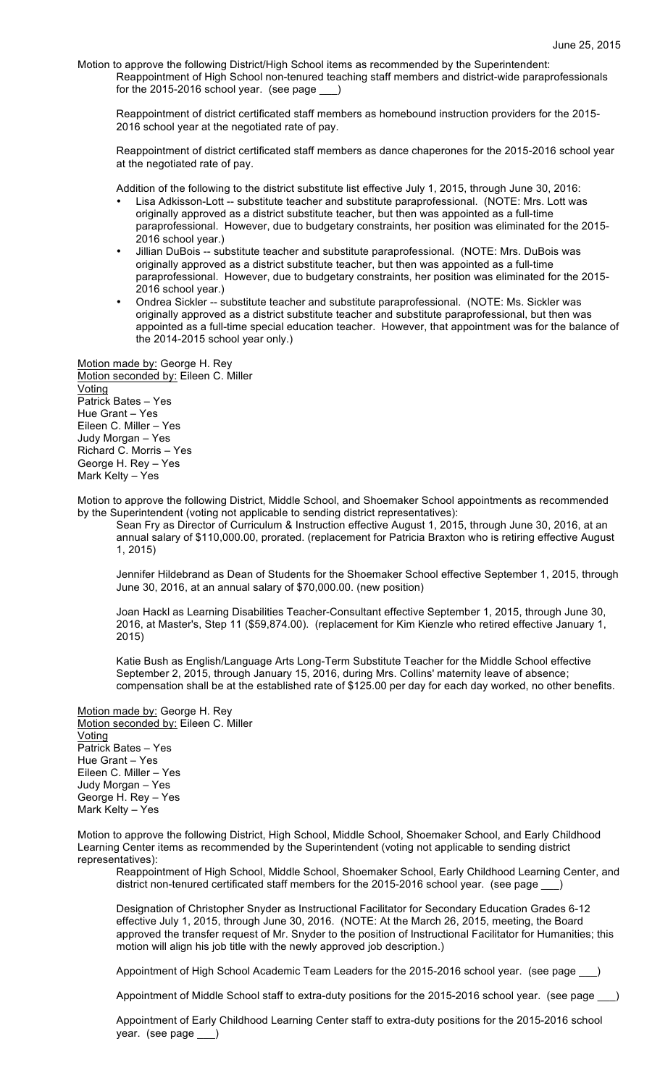Motion to approve the following District/High School items as recommended by the Superintendent: Reappointment of High School non-tenured teaching staff members and district-wide paraprofessionals for the 2015-2016 school year. (see page \_\_\_)

Reappointment of district certificated staff members as homebound instruction providers for the 2015- 2016 school year at the negotiated rate of pay.

Reappointment of district certificated staff members as dance chaperones for the 2015-2016 school year at the negotiated rate of pay.

Addition of the following to the district substitute list effective July 1, 2015, through June 30, 2016:

- Lisa Adkisson-Lott -- substitute teacher and substitute paraprofessional. (NOTE: Mrs. Lott was originally approved as a district substitute teacher, but then was appointed as a full-time paraprofessional. However, due to budgetary constraints, her position was eliminated for the 2015- 2016 school year.)
- Jillian DuBois -- substitute teacher and substitute paraprofessional. (NOTE: Mrs. DuBois was originally approved as a district substitute teacher, but then was appointed as a full-time paraprofessional. However, due to budgetary constraints, her position was eliminated for the 2015- 2016 school year.)
- Ondrea Sickler -- substitute teacher and substitute paraprofessional. (NOTE: Ms. Sickler was originally approved as a district substitute teacher and substitute paraprofessional, but then was appointed as a full-time special education teacher. However, that appointment was for the balance of the 2014-2015 school year only.)

Motion made by: George H. Rey Motion seconded by: Eileen C. Miller Voting Patrick Bates – Yes Hue Grant – Yes Eileen C. Miller – Yes Judy Morgan – Yes Richard C. Morris – Yes George H. Rey – Yes Mark Kelty – Yes

Motion to approve the following District, Middle School, and Shoemaker School appointments as recommended by the Superintendent (voting not applicable to sending district representatives):

Sean Fry as Director of Curriculum & Instruction effective August 1, 2015, through June 30, 2016, at an annual salary of \$110,000.00, prorated. (replacement for Patricia Braxton who is retiring effective August 1, 2015)

Jennifer Hildebrand as Dean of Students for the Shoemaker School effective September 1, 2015, through June 30, 2016, at an annual salary of \$70,000.00. (new position)

Joan Hackl as Learning Disabilities Teacher-Consultant effective September 1, 2015, through June 30, 2016, at Master's, Step 11 (\$59,874.00). (replacement for Kim Kienzle who retired effective January 1, 2015)

Katie Bush as English/Language Arts Long-Term Substitute Teacher for the Middle School effective September 2, 2015, through January 15, 2016, during Mrs. Collins' maternity leave of absence; compensation shall be at the established rate of \$125.00 per day for each day worked, no other benefits.

Motion made by: George H. Rey Motion seconded by: Eileen C. Miller Voting Patrick Bates – Yes Hue Grant – Yes Eileen C. Miller – Yes Judy Morgan – Yes George H. Rey – Yes Mark Kelty – Yes

Motion to approve the following District, High School, Middle School, Shoemaker School, and Early Childhood Learning Center items as recommended by the Superintendent (voting not applicable to sending district representatives):

Reappointment of High School, Middle School, Shoemaker School, Early Childhood Learning Center, and district non-tenured certificated staff members for the 2015-2016 school year. (see page \_

Designation of Christopher Snyder as Instructional Facilitator for Secondary Education Grades 6-12 effective July 1, 2015, through June 30, 2016. (NOTE: At the March 26, 2015, meeting, the Board approved the transfer request of Mr. Snyder to the position of Instructional Facilitator for Humanities; this motion will align his job title with the newly approved job description.)

Appointment of High School Academic Team Leaders for the 2015-2016 school year. (see page )

Appointment of Middle School staff to extra-duty positions for the 2015-2016 school year. (see page

Appointment of Early Childhood Learning Center staff to extra-duty positions for the 2015-2016 school year. (see page \_\_\_)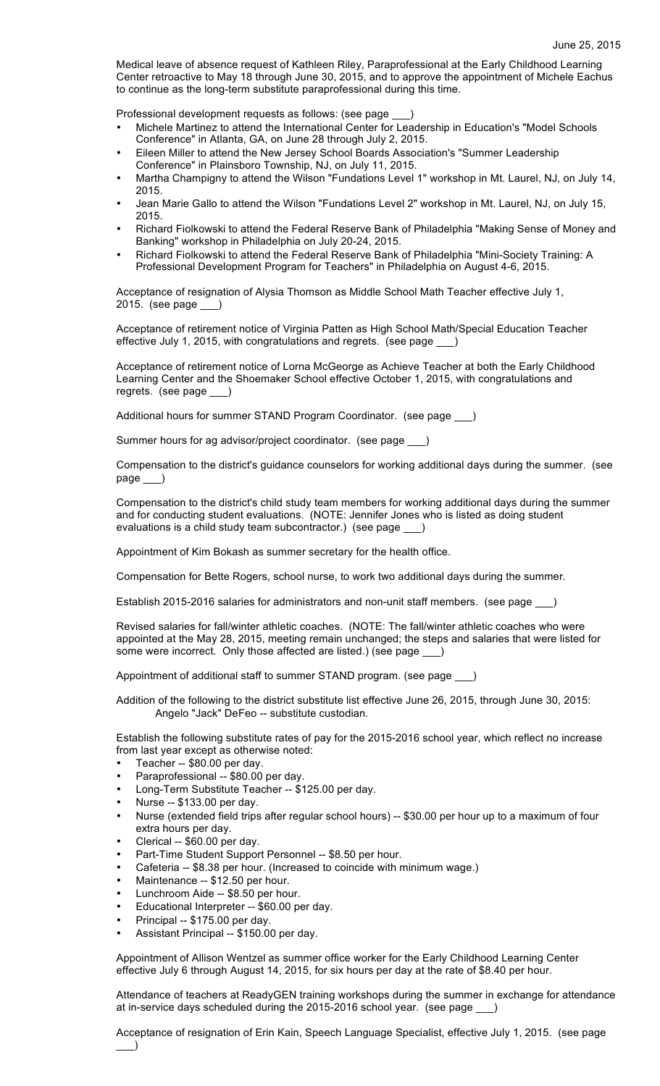Medical leave of absence request of Kathleen Riley, Paraprofessional at the Early Childhood Learning Center retroactive to May 18 through June 30, 2015, and to approve the appointment of Michele Eachus to continue as the long-term substitute paraprofessional during this time.

Professional development requests as follows: (see page

- Michele Martinez to attend the International Center for Leadership in Education's "Model Schools Conference" in Atlanta, GA, on June 28 through July 2, 2015.
- Eileen Miller to attend the New Jersey School Boards Association's "Summer Leadership Conference" in Plainsboro Township, NJ, on July 11, 2015.
- Martha Champigny to attend the Wilson "Fundations Level 1" workshop in Mt. Laurel, NJ, on July 14, 2015.
- Jean Marie Gallo to attend the Wilson "Fundations Level 2" workshop in Mt. Laurel, NJ, on July 15, 2015.
- Richard Fiolkowski to attend the Federal Reserve Bank of Philadelphia "Making Sense of Money and Banking" workshop in Philadelphia on July 20-24, 2015.
- Richard Fiolkowski to attend the Federal Reserve Bank of Philadelphia "Mini-Society Training: A Professional Development Program for Teachers" in Philadelphia on August 4-6, 2015.

Acceptance of resignation of Alysia Thomson as Middle School Math Teacher effective July 1, 2015. (see page \_

Acceptance of retirement notice of Virginia Patten as High School Math/Special Education Teacher effective July 1, 2015, with congratulations and regrets. (see page \_\_\_)

Acceptance of retirement notice of Lorna McGeorge as Achieve Teacher at both the Early Childhood Learning Center and the Shoemaker School effective October 1, 2015, with congratulations and regrets. (see page

Additional hours for summer STAND Program Coordinator. (see page \_\_\_)

Summer hours for ag advisor/project coordinator. (see page \_\_\_)

Compensation to the district's guidance counselors for working additional days during the summer. (see page

Compensation to the district's child study team members for working additional days during the summer and for conducting student evaluations. (NOTE: Jennifer Jones who is listed as doing student evaluations is a child study team subcontractor.) (see page \_\_\_)

Appointment of Kim Bokash as summer secretary for the health office.

Compensation for Bette Rogers, school nurse, to work two additional days during the summer.

Establish 2015-2016 salaries for administrators and non-unit staff members. (see page \_\_\_)

Revised salaries for fall/winter athletic coaches. (NOTE: The fall/winter athletic coaches who were appointed at the May 28, 2015, meeting remain unchanged; the steps and salaries that were listed for some were incorrect. Only those affected are listed.) (see page \_

Appointment of additional staff to summer STAND program. (see page \_

Addition of the following to the district substitute list effective June 26, 2015, through June 30, 2015: Angelo "Jack" DeFeo -- substitute custodian.

Establish the following substitute rates of pay for the 2015-2016 school year, which reflect no increase from last year except as otherwise noted:

- Teacher -- \$80.00 per day.
- Paraprofessional -- \$80.00 per day.
- Long-Term Substitute Teacher -- \$125.00 per day.
- Nurse -- \$133.00 per day.
- Nurse (extended field trips after regular school hours) -- \$30.00 per hour up to a maximum of four extra hours per day.
- Clerical -- \$60.00 per day.
- Part-Time Student Support Personnel -- \$8.50 per hour.
- Cafeteria -- \$8.38 per hour. (Increased to coincide with minimum wage.)
- Maintenance -- \$12.50 per hour.
- Lunchroom Aide -- \$8.50 per hour.
- Educational Interpreter -- \$60.00 per day.
- Principal -- \$175.00 per day.
- Assistant Principal -- \$150.00 per day.

Appointment of Allison Wentzel as summer office worker for the Early Childhood Learning Center effective July 6 through August 14, 2015, for six hours per day at the rate of \$8.40 per hour.

Attendance of teachers at ReadyGEN training workshops during the summer in exchange for attendance at in-service days scheduled during the 2015-2016 school year. (see page \_\_\_)

Acceptance of resignation of Erin Kain, Speech Language Specialist, effective July 1, 2015. (see page  $\rightarrow$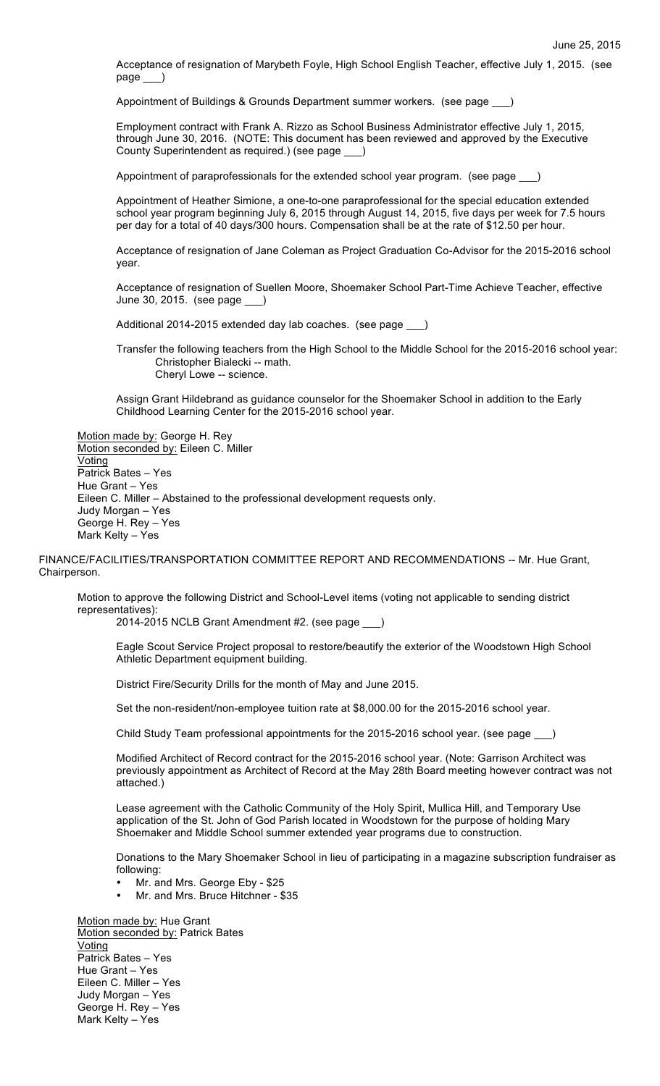Acceptance of resignation of Marybeth Foyle, High School English Teacher, effective July 1, 2015. (see page \_\_\_)

Appointment of Buildings & Grounds Department summer workers. (see page \_\_\_)

Employment contract with Frank A. Rizzo as School Business Administrator effective July 1, 2015, through June 30, 2016. (NOTE: This document has been reviewed and approved by the Executive County Superintendent as required.) (see page \_\_\_)

Appointment of paraprofessionals for the extended school year program. (see page \_\_\_)

Appointment of Heather Simione, a one-to-one paraprofessional for the special education extended school year program beginning July 6, 2015 through August 14, 2015, five days per week for 7.5 hours per day for a total of 40 days/300 hours. Compensation shall be at the rate of \$12.50 per hour.

Acceptance of resignation of Jane Coleman as Project Graduation Co-Advisor for the 2015-2016 school year.

Acceptance of resignation of Suellen Moore, Shoemaker School Part-Time Achieve Teacher, effective June 30, 2015. (see page

Additional 2014-2015 extended day lab coaches. (see page )

Transfer the following teachers from the High School to the Middle School for the 2015-2016 school year: Christopher Bialecki -- math. Cheryl Lowe -- science.

Assign Grant Hildebrand as guidance counselor for the Shoemaker School in addition to the Early Childhood Learning Center for the 2015-2016 school year.

Motion made by: George H. Rey Motion seconded by: Eileen C. Miller Voting Patrick Bates – Yes Hue Grant – Yes Eileen C. Miller – Abstained to the professional development requests only. Judy Morgan – Yes George H. Rey – Yes Mark Kelty – Yes

FINANCE/FACILITIES/TRANSPORTATION COMMITTEE REPORT AND RECOMMENDATIONS -- Mr. Hue Grant, Chairperson.

Motion to approve the following District and School-Level items (voting not applicable to sending district representatives):

2014-2015 NCLB Grant Amendment #2. (see page \_

Eagle Scout Service Project proposal to restore/beautify the exterior of the Woodstown High School Athletic Department equipment building.

District Fire/Security Drills for the month of May and June 2015.

Set the non-resident/non-employee tuition rate at \$8,000.00 for the 2015-2016 school year.

Child Study Team professional appointments for the 2015-2016 school year. (see page \_\_\_

Modified Architect of Record contract for the 2015-2016 school year. (Note: Garrison Architect was previously appointment as Architect of Record at the May 28th Board meeting however contract was not attached.)

Lease agreement with the Catholic Community of the Holy Spirit, Mullica Hill, and Temporary Use application of the St. John of God Parish located in Woodstown for the purpose of holding Mary Shoemaker and Middle School summer extended year programs due to construction.

Donations to the Mary Shoemaker School in lieu of participating in a magazine subscription fundraiser as following:

- Mr. and Mrs. George Eby \$25
- Mr. and Mrs. Bruce Hitchner \$35

Motion made by: Hue Grant Motion seconded by: Patrick Bates Voting Patrick Bates – Yes Hue Grant – Yes Eileen C. Miller – Yes Judy Morgan – Yes George H. Rey – Yes Mark Kelty – Yes